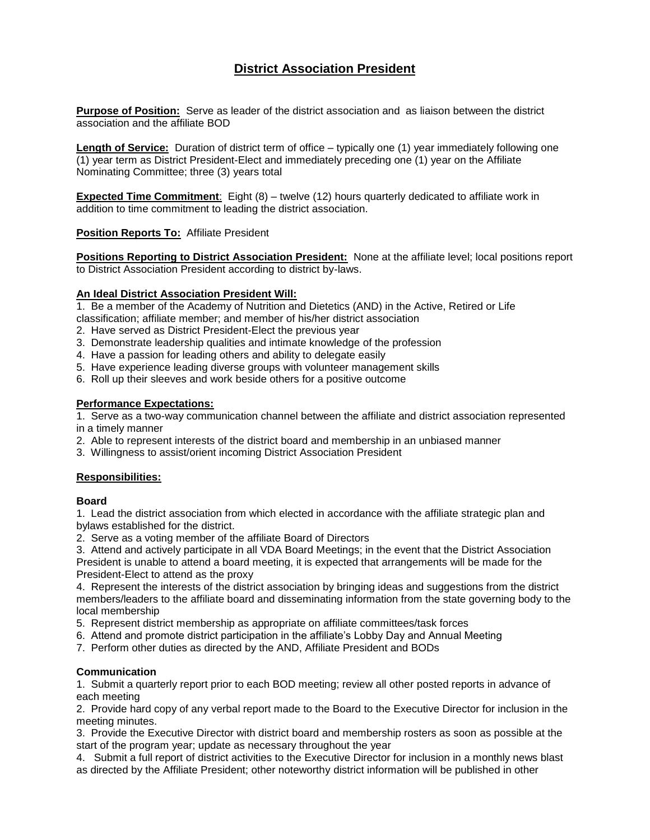# **District Association President**

**Purpose of Position:** Serve as leader of the district association and as liaison between the district association and the affiliate BOD

**Length of Service:** Duration of district term of office – typically one (1) year immediately following one (1) year term as District President-Elect and immediately preceding one (1) year on the Affiliate Nominating Committee; three (3) years total

**Expected Time Commitment**: Eight (8) – twelve (12) hours quarterly dedicated to affiliate work in addition to time commitment to leading the district association.

**Position Reports To:** Affiliate President

**Positions Reporting to District Association President:** None at the affiliate level; local positions report to District Association President according to district by-laws.

# **An Ideal District Association President Will:**

1. Be a member of the Academy of Nutrition and Dietetics (AND) in the Active, Retired or Life classification; affiliate member; and member of his/her district association

- 2. Have served as District President-Elect the previous year
- 3. Demonstrate leadership qualities and intimate knowledge of the profession
- 4. Have a passion for leading others and ability to delegate easily
- 5. Have experience leading diverse groups with volunteer management skills
- 6. Roll up their sleeves and work beside others for a positive outcome

#### **Performance Expectations:**

1. Serve as a two-way communication channel between the affiliate and district association represented in a timely manner

- 2. Able to represent interests of the district board and membership in an unbiased manner
- 3. Willingness to assist/orient incoming District Association President

# **Responsibilities:**

#### **Board**

1. Lead the district association from which elected in accordance with the affiliate strategic plan and bylaws established for the district.

2. Serve as a voting member of the affiliate Board of Directors

3. Attend and actively participate in all VDA Board Meetings; in the event that the District Association President is unable to attend a board meeting, it is expected that arrangements will be made for the President-Elect to attend as the proxy

4. Represent the interests of the district association by bringing ideas and suggestions from the district members/leaders to the affiliate board and disseminating information from the state governing body to the local membership

- 5. Represent district membership as appropriate on affiliate committees/task forces
- 6. Attend and promote district participation in the affiliate's Lobby Day and Annual Meeting
- 7. Perform other duties as directed by the AND, Affiliate President and BODs

#### **Communication**

1. Submit a quarterly report prior to each BOD meeting; review all other posted reports in advance of each meeting

2. Provide hard copy of any verbal report made to the Board to the Executive Director for inclusion in the meeting minutes.

3. Provide the Executive Director with district board and membership rosters as soon as possible at the start of the program year; update as necessary throughout the year

4. Submit a full report of district activities to the Executive Director for inclusion in a monthly news blast as directed by the Affiliate President; other noteworthy district information will be published in other